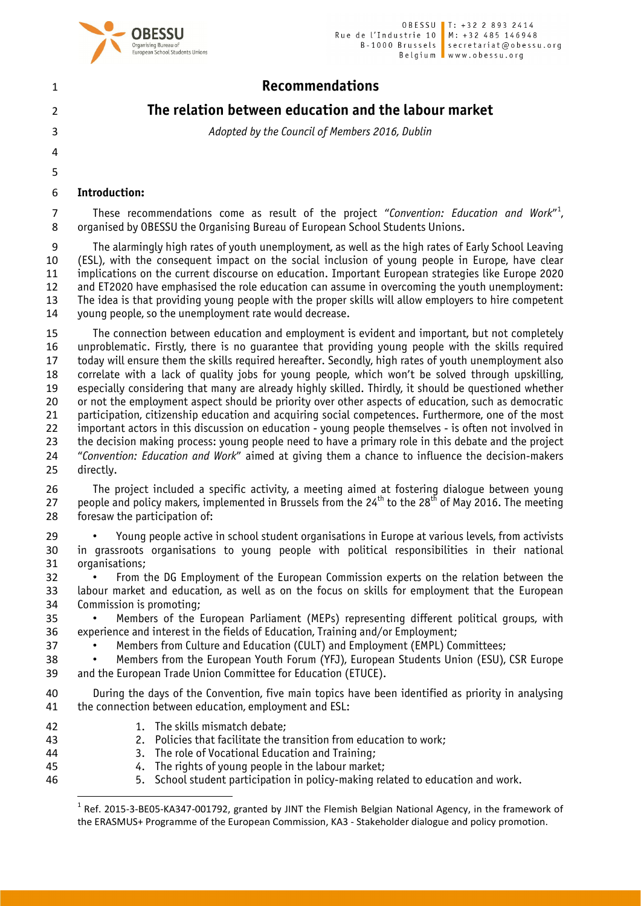

# The relation between education and the labour market

*Adopted by the Council of Members 2016, Dublin*

Introduction:

 

7 These recommendations come as result of the project "Convention: Education and Work"<sup>1</sup>, organised by OBESSU the Organising Bureau of European School Students Unions.

 The alarmingly high rates of youth unemployment, as well as the high rates of Early School Leaving (ESL), with the consequent impact on the social inclusion of young people in Europe, have clear implications on the current discourse on education. Important European strategies like Europe 2020 and ET2020 have emphasised the role education can assume in overcoming the youth unemployment: The idea is that providing young people with the proper skills will allow employers to hire competent young people, so the unemployment rate would decrease.

 The connection between education and employment is evident and important, but not completely unproblematic. Firstly, there is no guarantee that providing young people with the skills required today will ensure them the skills required hereafter. Secondly, high rates of youth unemployment also correlate with a lack of quality jobs for young people, which won't be solved through upskilling, especially considering that many are already highly skilled. Thirdly, it should be questioned whether or not the employment aspect should be priority over other aspects of education, such as democratic participation, citizenship education and acquiring social competences. Furthermore, one of the most important actors in this discussion on education - young people themselves - is often not involved in the decision making process: young people need to have a primary role in this debate and the project "*Convention: Education and Work*" aimed at giving them a chance to influence the decision-makers directly.

 The project included a specific activity, a meeting aimed at fostering dialogue between young 27 people and policy makers, implemented in Brussels from the  $24^{th}$  to the  $28^{th}$  of May 2016. The meeting foresaw the participation of:

 • Young people active in school student organisations in Europe at various levels, from activists in grassroots organisations to young people with political responsibilities in their national organisations;

 • From the DG Employment of the European Commission experts on the relation between the labour market and education, as well as on the focus on skills for employment that the European Commission is promoting;

 • Members of the European Parliament (MEPs) representing different political groups, with experience and interest in the fields of Education, Training and/or Employment;

• Members from Culture and Education (CULT) and Employment (EMPL) Committees;

 • Members from the European Youth Forum (YFJ), European Students Union (ESU), CSR Europe and the European Trade Union Committee for Education (ETUCE).

 During the days of the Convention, five main topics have been identified as priority in analysing the connection between education, employment and ESL:

- 42 1. The skills mismatch debate:
- 2. Policies that facilitate the transition from education to work;
- 3. The role of Vocational Education and Training;
- 4. The rights of young people in the labour market;
- 5. School student participation in policy-making related to education and work.

<sup>&</sup>lt;sup>1</sup> Ref. 2015-3-BE05-KA347-001792, granted by JINT the Flemish Belgian National Agency, in the framework of the ERASMUS+ Programme of the European Commission, KA3 - Stakeholder dialogue and policy promotion.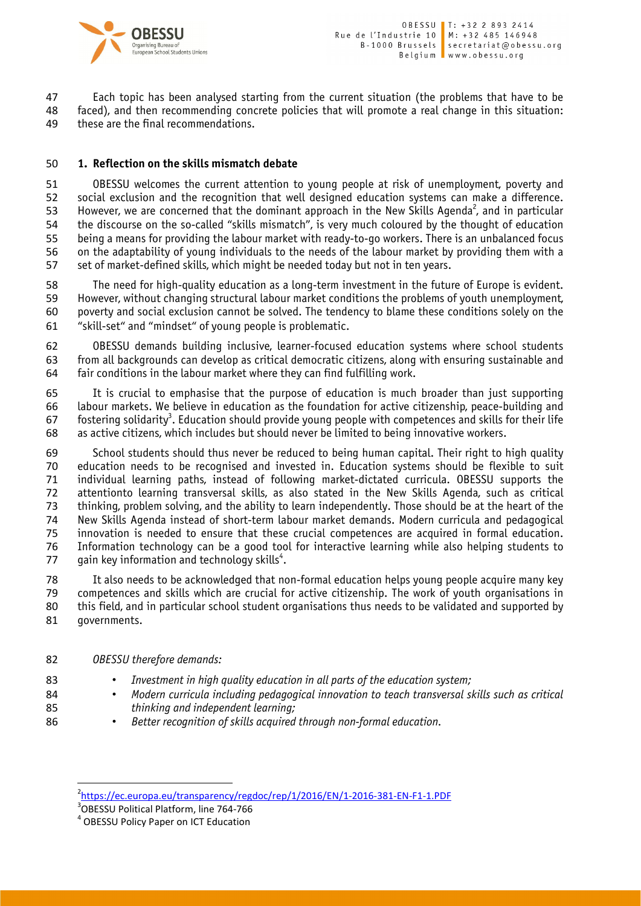

 Each topic has been analysed starting from the current situation (the problems that have to be faced), and then recommending concrete policies that will promote a real change in this situation: these are the final recommendations.

### 1. Reflection on the skills mismatch debate

 OBESSU welcomes the current attention to young people at risk of unemployment, poverty and social exclusion and the recognition that well designed education systems can make a difference. 53 However, we are concerned that the dominant approach in the New Skills Agenda<sup>2</sup>, and in particular the discourse on the so-called "skills mismatch", is very much coloured by the thought of education being a means for providing the labour market with ready-to-go workers. There is an unbalanced focus on the adaptability of young individuals to the needs of the labour market by providing them with a set of market-defined skills, which might be needed today but not in ten years.

 The need for high-quality education as a long-term investment in the future of Europe is evident. However, without changing structural labour market conditions the problems of youth unemployment, poverty and social exclusion cannot be solved. The tendency to blame these conditions solely on the "skill-set" and "mindset" of young people is problematic.

 OBESSU demands building inclusive, learner-focused education systems where school students from all backgrounds can develop as critical democratic citizens, along with ensuring sustainable and fair conditions in the labour market where they can find fulfilling work.

 It is crucial to emphasise that the purpose of education is much broader than just supporting labour markets. We believe in education as the foundation for active citizenship, peace-building and fostering solidarity<sup>3</sup>. Education should provide young people with competences and skills for their life as active citizens, which includes but should never be limited to being innovative workers.

69 School students should thus never be reduced to being human capital. Their right to high quality<br>60 education needs to be recognised and invested in. Education systems should be flexible to suit education needs to be recognised and invested in. Education systems should be flexible to suit individual learning paths, instead of following market-dictated curricula. OBESSU supports the attentionto learning transversal skills, as also stated in the New Skills Agenda, such as critical thinking, problem solving, and the ability to learn independently. Those should be at the heart of the New Skills Agenda instead of short-term labour market demands. Modern curricula and pedagogical innovation is needed to ensure that these crucial competences are acquired in formal education. 76 Information technology can be a good tool for interactive learning while also helping students to 77 aain key information and technology skills<sup>4</sup>. gain key information and technology skills<sup>4</sup>.

 It also needs to be acknowledged that non-formal education helps young people acquire many key competences and skills which are crucial for active citizenship. The work of youth organisations in this field, and in particular school student organisations thus needs to be validated and supported by governments.

- *OBESSU therefore demands:*
- *Investment in high quality education in all parts of the education system;*
- *Modern curricula including pedagogical innovation to teach transversal skills such as critical thinking and independent learning;*
- *Better recognition of skills acquired through non-formal education.*

 $\frac{1}{2}$ <sup>2</sup>https://ec.europa.eu/transparency/regdoc/rep/1/2016/EN/1-2016-381-EN-F1-1.PDF<br><sup>3</sup>OBESSU Political Platform, line 764-766

<sup>&</sup>lt;sup>4</sup> OBESSU Policy Paper on ICT Education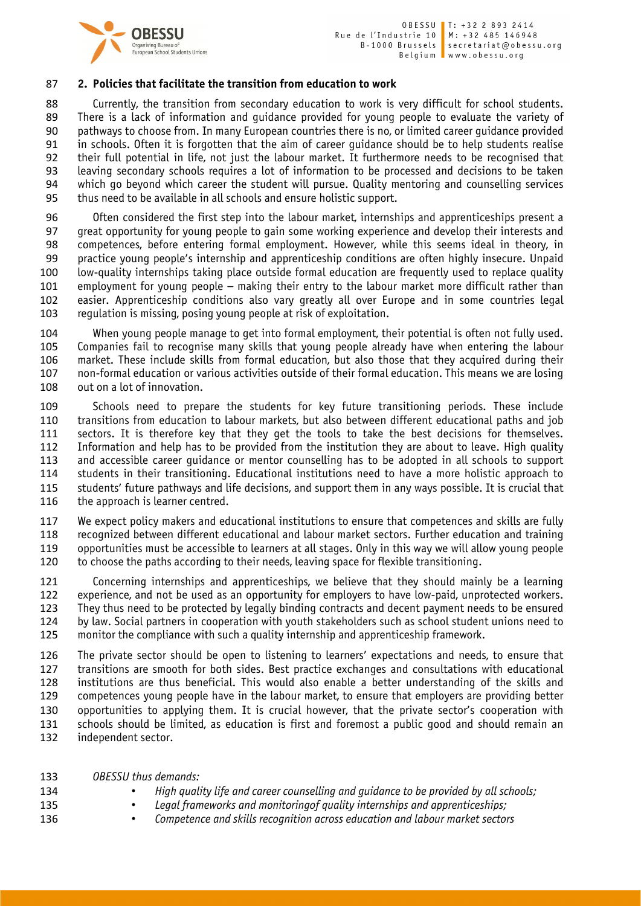

### 2. Policies that facilitate the transition from education to work

 Currently, the transition from secondary education to work is very difficult for school students. There is a lack of information and guidance provided for young people to evaluate the variety of pathways to choose from. In many European countries there is no, or limited career guidance provided in schools. Often it is forgotten that the aim of career guidance should be to help students realise their full potential in life, not just the labour market. It furthermore needs to be recognised that leaving secondary schools requires a lot of information to be processed and decisions to be taken which go beyond which career the student will pursue. Quality mentoring and counselling services thus need to be available in all schools and ensure holistic support.

 Often considered the first step into the labour market, internships and apprenticeships present a great opportunity for young people to gain some working experience and develop their interests and competences, before entering formal employment. However, while this seems ideal in theory, in practice young people's internship and apprenticeship conditions are often highly insecure. Unpaid low-quality internships taking place outside formal education are frequently used to replace quality employment for young people – making their entry to the labour market more difficult rather than easier. Apprenticeship conditions also vary greatly all over Europe and in some countries legal regulation is missing, posing young people at risk of exploitation.

 When young people manage to get into formal employment, their potential is often not fully used. Companies fail to recognise many skills that young people already have when entering the labour market. These include skills from formal education, but also those that they acquired during their non-formal education or various activities outside of their formal education. This means we are losing out on a lot of innovation.

 Schools need to prepare the students for key future transitioning periods. These include transitions from education to labour markets, but also between different educational paths and job sectors. It is therefore key that they get the tools to take the best decisions for themselves. Information and help has to be provided from the institution they are about to leave. High quality and accessible career guidance or mentor counselling has to be adopted in all schools to support students in their transitioning. Educational institutions need to have a more holistic approach to students' future pathways and life decisions, and support them in any ways possible. It is crucial that 116 the approach is learner centred.

 We expect policy makers and educational institutions to ensure that competences and skills are fully recognized between different educational and labour market sectors. Further education and training opportunities must be accessible to learners at all stages. Only in this way we will allow young people to choose the paths according to their needs, leaving space for flexible transitioning.

 Concerning internships and apprenticeships, we believe that they should mainly be a learning experience, and not be used as an opportunity for employers to have low-paid, unprotected workers. They thus need to be protected by legally binding contracts and decent payment needs to be ensured by law. Social partners in cooperation with youth stakeholders such as school student unions need to monitor the compliance with such a quality internship and apprenticeship framework.

 The private sector should be open to listening to learners' expectations and needs, to ensure that transitions are smooth for both sides. Best practice exchanges and consultations with educational institutions are thus beneficial. This would also enable a better understanding of the skills and competences young people have in the labour market, to ensure that employers are providing better opportunities to applying them. It is crucial however, that the private sector's cooperation with schools should be limited, as education is first and foremost a public good and should remain an independent sector.

- *OBESSU thus demands:*
- *High quality life and career counselling and guidance to be provided by all schools;*
- *Legal frameworks and monitoringof quality internships and apprenticeships;*
- *Competence and skills recognition across education and labour market sectors*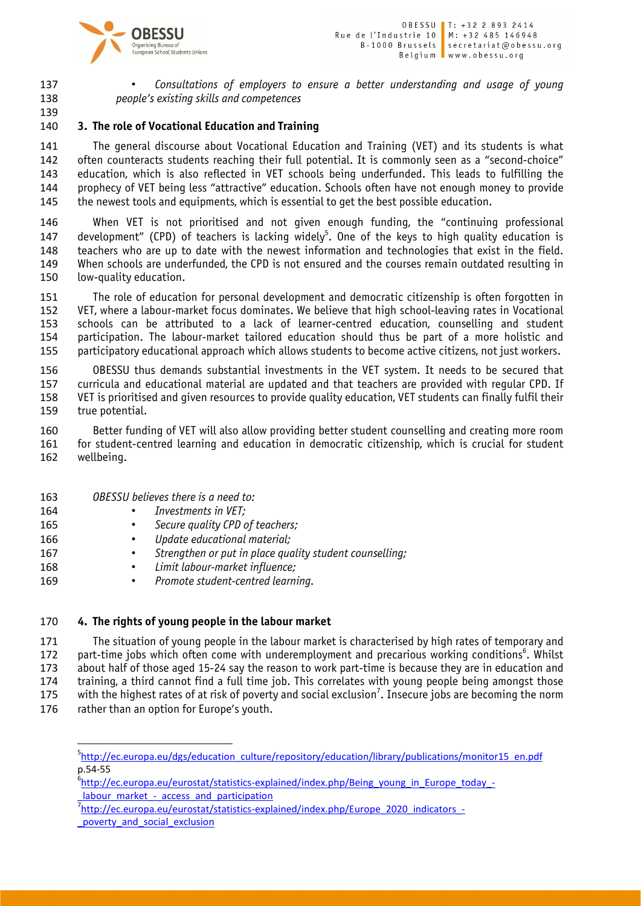

 • *Consultations of employers to ensure a better understanding and usage of young people's existing skills and competences* 

## 3. The role of Vocational Education and Training

 The general discourse about Vocational Education and Training (VET) and its students is what 142 often counteracts students reaching their full potential. It is commonly seen as a "second-choice" education, which is also reflected in VET schools being underfunded. This leads to fulfilling the prophecy of VET being less "attractive" education. Schools often have not enough money to provide the newest tools and equipments, which is essential to get the best possible education.

 When VET is not prioritised and not given enough funding, the "continuing professional 147 development" (CPD) of teachers is lacking widely<sup>5</sup>. One of the keys to high quality education is 148 teachers who are up to date with the newest information and technologies that exist in the field.<br>149 When schools are underfunded, the CPD is not ensured and the courses remain outdated resulting in When schools are underfunded, the CPD is not ensured and the courses remain outdated resulting in low-quality education.

 The role of education for personal development and democratic citizenship is often forgotten in VET, where a labour-market focus dominates. We believe that high school-leaving rates in Vocational schools can be attributed to a lack of learner-centred education, counselling and student participation. The labour-market tailored education should thus be part of a more holistic and participatory educational approach which allows students to become active citizens, not just workers.

 OBESSU thus demands substantial investments in the VET system. It needs to be secured that curricula and educational material are updated and that teachers are provided with regular CPD. If VET is prioritised and given resources to provide quality education, VET students can finally fulfil their true potential.

 Better funding of VET will also allow providing better student counselling and creating more room for student-centred learning and education in democratic citizenship, which is crucial for student wellbeing.

- *OBESSU believes there is a need to:*
- *Investments in VET;*
- *Secure quality CPD of teachers;*
- *Update educational material;*
- *Strengthen or put in place quality student counselling;*
- *Limit labour-market influence;*
- *Promote student-centred learning.*

### 4. The rights of young people in the labour market

 The situation of young people in the labour market is characterised by high rates of temporary and 172 bart-time jobs which often come with underemployment and precarious working conditions<sup>6</sup>. Whilst about half of those aged 15-24 say the reason to work part-time is because they are in education and training, a third cannot find a full time job. This correlates with young people being amongst those 175 with the highest rates of at risk of poverty and social exclusion<sup>7</sup>. Insecure jobs are becoming the norm 176 rather than an option for Europe's youth.

<sup>-&</sup>lt;br>5 <sup>5</sup>http://ec.europa.eu/dgs/education\_culture/repository/education/library/publications/monitor15\_en.pdf p.54-55

<sup>&</sup>lt;sup>6</sup>http://ec.europa.eu/eurostat/statistics-explained/index.php/Being\_young\_in\_Europe\_today\_-

\_labour\_market\_-\_access\_and\_participation http://ec.europa.eu/eurostat/statistics-explained/index.php/Europe\_2020\_indicators\_-

\_poverty\_and\_social\_exclusion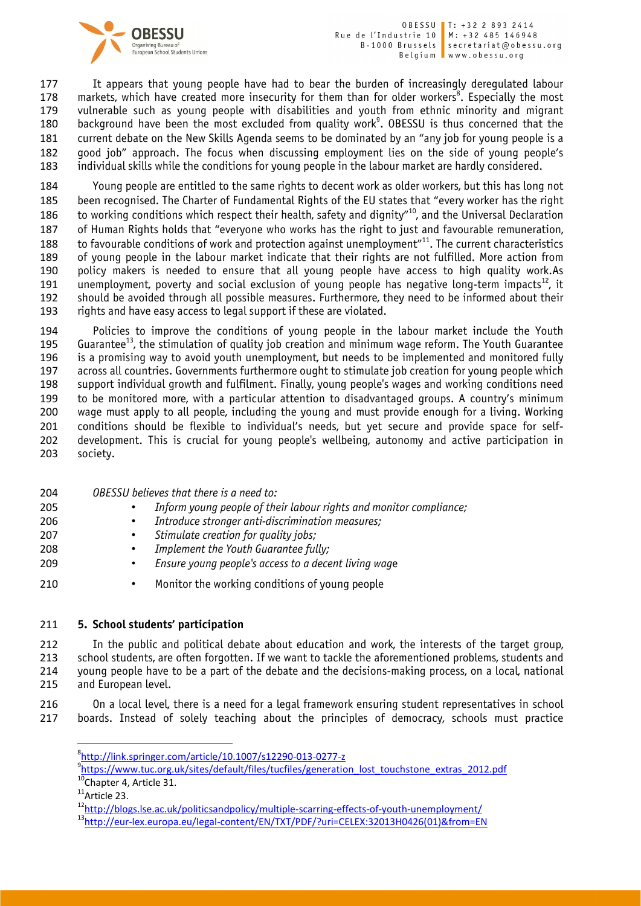

177 It appears that young people have had to bear the burden of increasingly deregulated labour 178 markets, which have created more insecurity for them than for older workers<sup>8</sup>. Especially the most vulnerable such as young people with disabilities and youth from ethnic minority and migrant 180 background have been the most excluded from quality work<sup>9</sup>. OBESSU is thus concerned that the current debate on the New Skills Agenda seems to be dominated by an "any job for young people is a good job" approach. The focus when discussing employment lies on the side of young people's individual skills while the conditions for young people in the labour market are hardly considered.

 Young people are entitled to the same rights to decent work as older workers, but this has long not been recognised. The Charter of Fundamental Rights of the EU states that "every worker has the right 186 to working conditions which respect their health, safety and dignity"<sup>10</sup>, and the Universal Declaration of Human Rights holds that "everyone who works has the right to just and favourable remuneration, 188 to favourable conditions of work and protection against unemployment $^{\prime\prime}$ <sup>11</sup>. The current characteristics of young people in the labour market indicate that their rights are not fulfilled. More action from policy makers is needed to ensure that all young people have access to high quality work.As 191 unemployment, poverty and social exclusion of young people has negative long-term impacts<sup>12</sup>, it should be avoided through all possible measures. Furthermore, they need to be informed about their rights and have easy access to legal support if these are violated.

 Policies to improve the conditions of young people in the labour market include the Youth 195 Guarantee<sup>13</sup>, the stimulation of quality job creation and minimum wage reform. The Youth Guarantee is a promising way to avoid youth unemployment, but needs to be implemented and monitored fully across all countries. Governments furthermore ought to stimulate job creation for young people which support individual growth and fulfilment. Finally, young people's wages and working conditions need to be monitored more, with a particular attention to disadvantaged groups. A country's minimum wage must apply to all people, including the young and must provide enough for a living. Working conditions should be flexible to individual's needs, but yet secure and provide space for self- development. This is crucial for young people's wellbeing, autonomy and active participation in society.

- *OBESSU believes that there is a need to:* • *Inform young people of their labour rights and monitor compliance;* • *Introduce stronger anti-discrimination measures;* • *Stimulate creation for quality jobs;*
- *Implement the Youth Guarantee fully;*
- *Ensure young people's access to a decent living wag*e
- Monitor the working conditions of young people

### 5. School students' participation

 In the public and political debate about education and work, the interests of the target group, school students, are often forgotten. If we want to tackle the aforementioned problems, students and young people have to be a part of the debate and the decisions-making process, on a local, national and European level.

 On a local level, there is a need for a legal framework ensuring student representatives in school boards. Instead of solely teaching about the principles of democracy, schools must practice

<sup>-&</sup>lt;br>8 http://link.springer.com/article/10.1007/s12290-013-0277-z

<sup>&</sup>lt;sup>9</sup>https://www.tuc.org.uk/sites/default/files/tucfiles/generation\_lost\_touchstone\_extras\_2012.pdf <sup>10</sup>Chapter 4, Article 31.

Article 23.

<sup>12</sup>http://blogs.lse.ac.uk/politicsandpolicy/multiple-scarring-effects-of-youth-unemployment/<br><sup>13</sup>http://eur-lex.europa.eu/legal-content/EN/TXT/PDF/?uri=CELEX:32013H0426(01)&from=EN